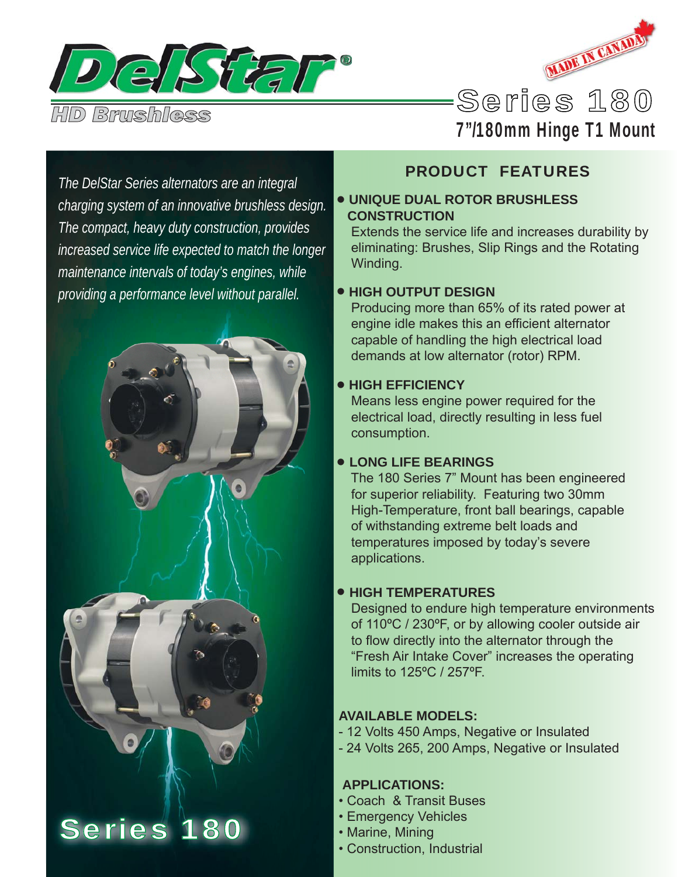



# 7"/180mm Hinge T1 Mount

*The DelStar Series alternators are an integral charging system of an innovative brushless design. The compact, heavy duty construction, provides increased service life expected to match the longer maintenance intervals of today's engines, while providing a performance level without parallel.*



# Series 180

## PRODUCT FEATURES

#### • **UNIQUE DUAL ROTOR BRUSHLESS CONSTRUCTION**

 Extends the service life and increases durability by eliminating: Brushes, Slip Rings and the Rotating Winding.

#### • **HIGH OUTPUT DESIGN**

 Producing more than 65% of its rated power at engine idle makes this an efficient alternator capable of handling the high electrical load demands at low alternator (rotor) RPM.

#### • **HIGH EFFICIENCY**

 Means less engine power required for the electrical load, directly resulting in less fuel consumption.

#### • **LONG LIFE BEARINGS**

 The 180 Series 7" Mount has been engineered for superior reliability. Featuring two 30mm High-Temperature, front ball bearings, capable of withstanding extreme belt loads and temperatures imposed by today's severe applications.

### • **HIGH TEMPERATURES**

 Designed to endure high temperature environments of 110ºC / 230ºF, or by allowing cooler outside air to flow directly into the alternator through the "Fresh Air Intake Cover" increases the operating limits to 125ºC / 257ºF.

### **AVAILABLE MODELS:**

- 12 Volts 450 Amps, Negative or Insulated
- 24 Volts 265, 200 Amps, Negative or Insulated

### **APPLICATIONS:**

- Coach & Transit Buses
- Emergency Vehicles
- Marine, Mining
- Construction, Industrial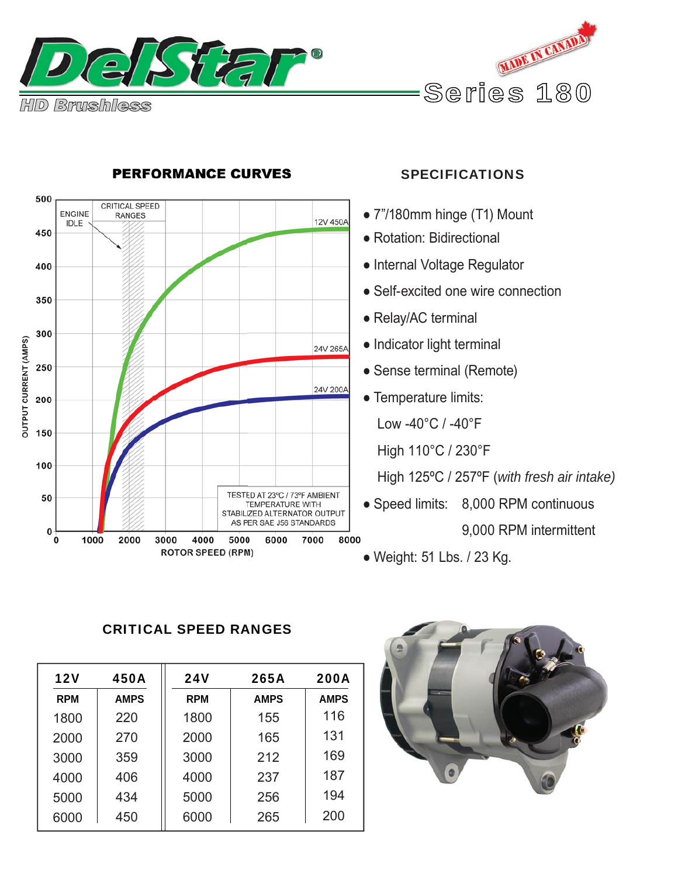



### **PERFORMANCE CURVES**

#### SPECIFICATIONS

- 7"/180mm hinge (T1) Mount
- Rotation: Bidirectional
- Internal Voltage Regulator
- Self-excited one wire connection
- Relay/AC terminal
- Indicator light terminal
- Sense terminal (Remote)
- Temperature limits:

Low -40°C / -40°F

High 110°C / 230°F

High 125ºC / 257ºF (*with fresh air intake)*

• Speed limits: 8,000 RPM continuous

9,000 RPM intermittent

● Weight: 51 Lbs. / 23 Kg.

#### CRITICAL SPEED RANGES

| <b>12V</b> | 450A        | <b>24V</b> | 265A        | <b>200A</b> |
|------------|-------------|------------|-------------|-------------|
| <b>RPM</b> | <b>AMPS</b> | <b>RPM</b> | <b>AMPS</b> | <b>AMPS</b> |
| 1800       | 220         | 1800       | 155         | 116         |
| 2000       | 270         | 2000       | 165         | 131         |
| 3000       | 359         | 3000       | 212         | 169         |
| 4000       | 406         | 4000       | 237         | 187         |
| 5000       | 434         | 5000       | 256         | 194         |
| 6000       | 450         | 6000       | 265         | 200         |

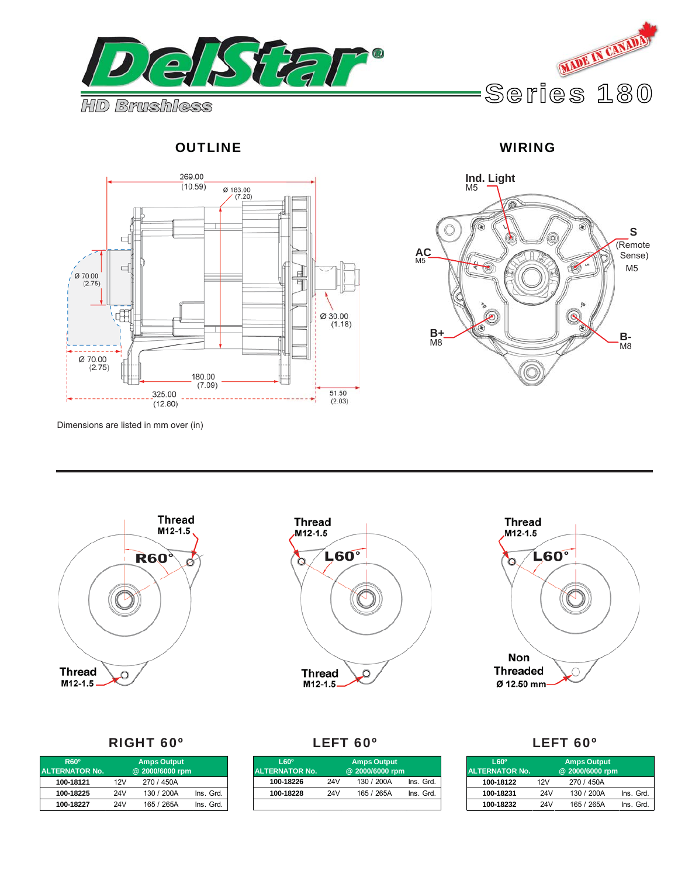





**Ind. Light** M5 n  $\widehat{r}$ 企 **S** (Remote **AC** M5 Sense)  $\mathcal{C}$ M5 **B+ B+ B**-<br>M8 **B**- $\overline{\overline{\mathsf{M}}}$ 8

Dimensions are listed in mm over (in)







#### RIGHT 60º LEFT 60º LEFT 60º

| R60 <sup>°</sup><br><b>ALTERNATOR No.</b> |     |            |           |
|-------------------------------------------|-----|------------|-----------|
| 100-18121                                 | 12V | 270 / 450A |           |
| 100-18225                                 | 24V | 130 / 200A | Ins. Grd. |
| 100-18227                                 | 24V | 165 / 265A | Ins. Grd. |

| L60°<br>ALTERNATOR No. | <b>Amps Output</b><br>@ 2000/6000 rpm |            |           |  |
|------------------------|---------------------------------------|------------|-----------|--|
| 100-18226              | 24V                                   | 130 / 200A | Ins. Grd. |  |
| 100-18228              | 24V                                   | 165 / 265A | Ins. Grd. |  |
|                        |                                       |            |           |  |

| $L60^{\circ}$<br><b>ALTERNATOR No.</b> |     |            |           |
|----------------------------------------|-----|------------|-----------|
| 100-18122                              | 12V | 270 / 450A |           |
| 100-18231                              | 24V | 130 / 200A | Ins. Grd. |
| 100-18232                              | 24V | 165 / 265A | Ins. Grd. |